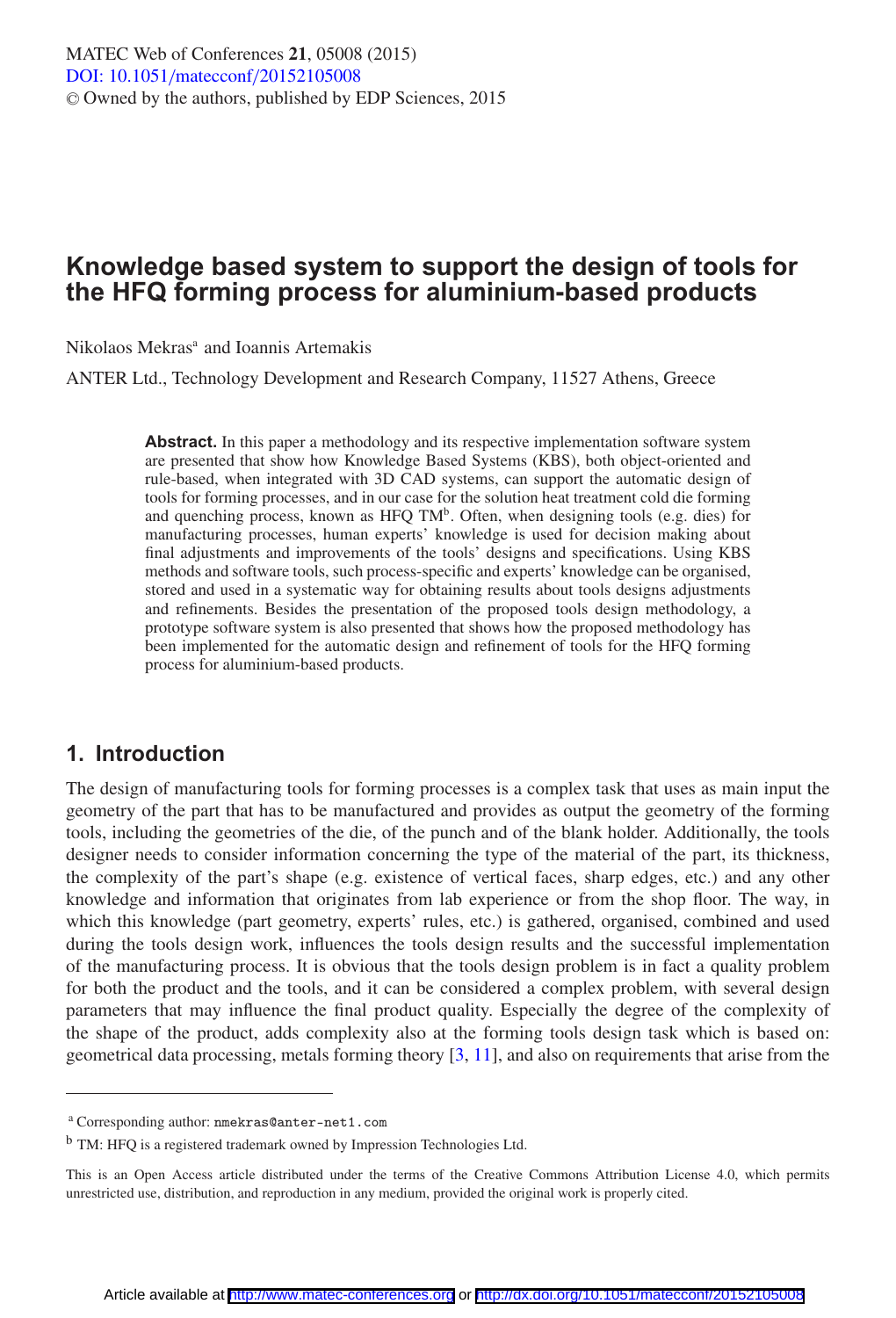# **Knowledge based system to support the design of tools for the HFQ forming process for aluminium-based products**

Nikolaos Mekras<sup>a</sup> and Ioannis Artemakis

ANTER Ltd., Technology Development and Research Company, 11527 Athens, Greece

Abstract. In this paper a methodology and its respective implementation software system are presented that show how Knowledge Based Systems (KBS), both object-oriented and rule-based, when integrated with 3D CAD systems, can support the automatic design of tools for forming processes, and in our case for the solution heat treatment cold die forming and quenching process, known as HFQ  $TM^b$ . Often, when designing tools (e.g. dies) for manufacturing processes, human experts' knowledge is used for decision making about final adjustments and improvements of the tools' designs and specifications. Using KBS methods and software tools, such process-specific and experts' knowledge can be organised, stored and used in a systematic way for obtaining results about tools designs adjustments and refinements. Besides the presentation of the proposed tools design methodology, a prototype software system is also presented that shows how the proposed methodology has been implemented for the automatic design and refinement of tools for the HFQ forming process for aluminium-based products.

## **1. Introduction**

The design of manufacturing tools for forming processes is a complex task that uses as main input the geometry of the part that has to be manufactured and provides as output the geometry of the forming tools, including the geometries of the die, of the punch and of the blank holder. Additionally, the tools designer needs to consider information concerning the type of the material of the part, its thickness, the complexity of the part's shape (e.g. existence of vertical faces, sharp edges, etc.) and any other knowledge and information that originates from lab experience or from the shop floor. The way, in which this knowledge (part geometry, experts' rules, etc.) is gathered, organised, combined and used during the tools design work, influences the tools design results and the successful implementation of the manufacturing process. It is obvious that the tools design problem is in fact a quality problem for both the product and the tools, and it can be considered a complex problem, with several design parameters that may influence the final product quality. Especially the degree of the complexity of the shape of the product, adds complexity also at the forming tools design task which is based on: geometrical data processing, metals forming theory [\[3,](#page-5-0) [11\]](#page-6-0), and also on requirements that arise from the

<sup>a</sup> Corresponding author: nmekras@anter-net1.com

<sup>b</sup> TM: HFQ is a registered trademark owned by Impression Technologies Ltd.

This is an Open Access article distributed under the terms of the Creative Commons Attribution License 4.0, which permits unrestricted use, distribution, and reproduction in any medium, provided the original work is properly cited.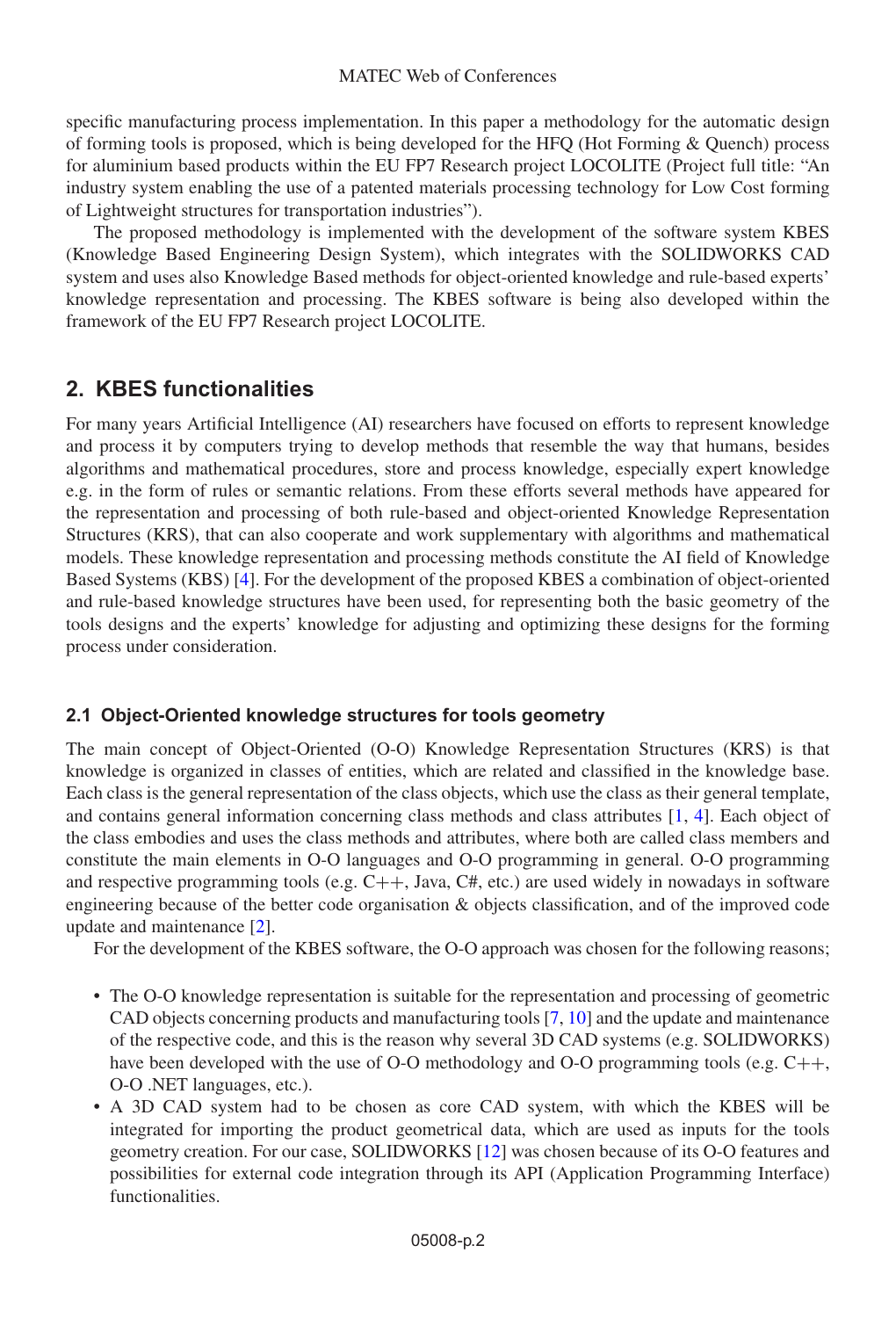specific manufacturing process implementation. In this paper a methodology for the automatic design of forming tools is proposed, which is being developed for the HFQ (Hot Forming & Quench) process for aluminium based products within the EU FP7 Research project LOCOLITE (Project full title: "An industry system enabling the use of a patented materials processing technology for Low Cost forming of Lightweight structures for transportation industries").

The proposed methodology is implemented with the development of the software system KBES (Knowledge Based Engineering Design System), which integrates with the SOLIDWORKS CAD system and uses also Knowledge Based methods for object-oriented knowledge and rule-based experts' knowledge representation and processing. The KBES software is being also developed within the framework of the EU FP7 Research project LOCOLITE.

# **2. KBES functionalities**

For many years Artificial Intelligence (AI) researchers have focused on efforts to represent knowledge and process it by computers trying to develop methods that resemble the way that humans, besides algorithms and mathematical procedures, store and process knowledge, especially expert knowledge e.g. in the form of rules or semantic relations. From these efforts several methods have appeared for the representation and processing of both rule-based and object-oriented Knowledge Representation Structures (KRS), that can also cooperate and work supplementary with algorithms and mathematical models. These knowledge representation and processing methods constitute the AI field of Knowledge Based Systems (KBS) [\[4](#page-5-1)]. For the development of the proposed KBES a combination of object-oriented and rule-based knowledge structures have been used, for representing both the basic geometry of the tools designs and the experts' knowledge for adjusting and optimizing these designs for the forming process under consideration.

## **2.1 Object-Oriented knowledge structures for tools geometry**

The main concept of Object-Oriented (O-O) Knowledge Representation Structures (KRS) is that knowledge is organized in classes of entities, which are related and classified in the knowledge base. Each class is the general representation of the class objects, which use the class as their general template, and contains general information concerning class methods and class attributes [\[1,](#page-5-2) [4\]](#page-5-1). Each object of the class embodies and uses the class methods and attributes, where both are called class members and constitute the main elements in O-O languages and O-O programming in general. O-O programming and respective programming tools (e.g.  $C++$ , Java,  $C#$ , etc.) are used widely in nowadays in software engineering because of the better code organisation & objects classification, and of the improved code update and maintenance [\[2\]](#page-5-3).

For the development of the KBES software, the O-O approach was chosen for the following reasons;

- The O-O knowledge representation is suitable for the representation and processing of geometric CAD objects concerning products and manufacturing tools [\[7,](#page-5-4) [10](#page-6-1)] and the update and maintenance of the respective code, and this is the reason why several 3D CAD systems (e.g. SOLIDWORKS) have been developed with the use of O-O methodology and O-O programming tools (e.g. C++, O-O .NET languages, etc.).
- A 3D CAD system had to be chosen as core CAD system, with which the KBES will be integrated for importing the product geometrical data, which are used as inputs for the tools geometry creation. For our case, SOLIDWORKS [\[12](#page-6-2)] was chosen because of its O-O features and possibilities for external code integration through its API (Application Programming Interface) functionalities.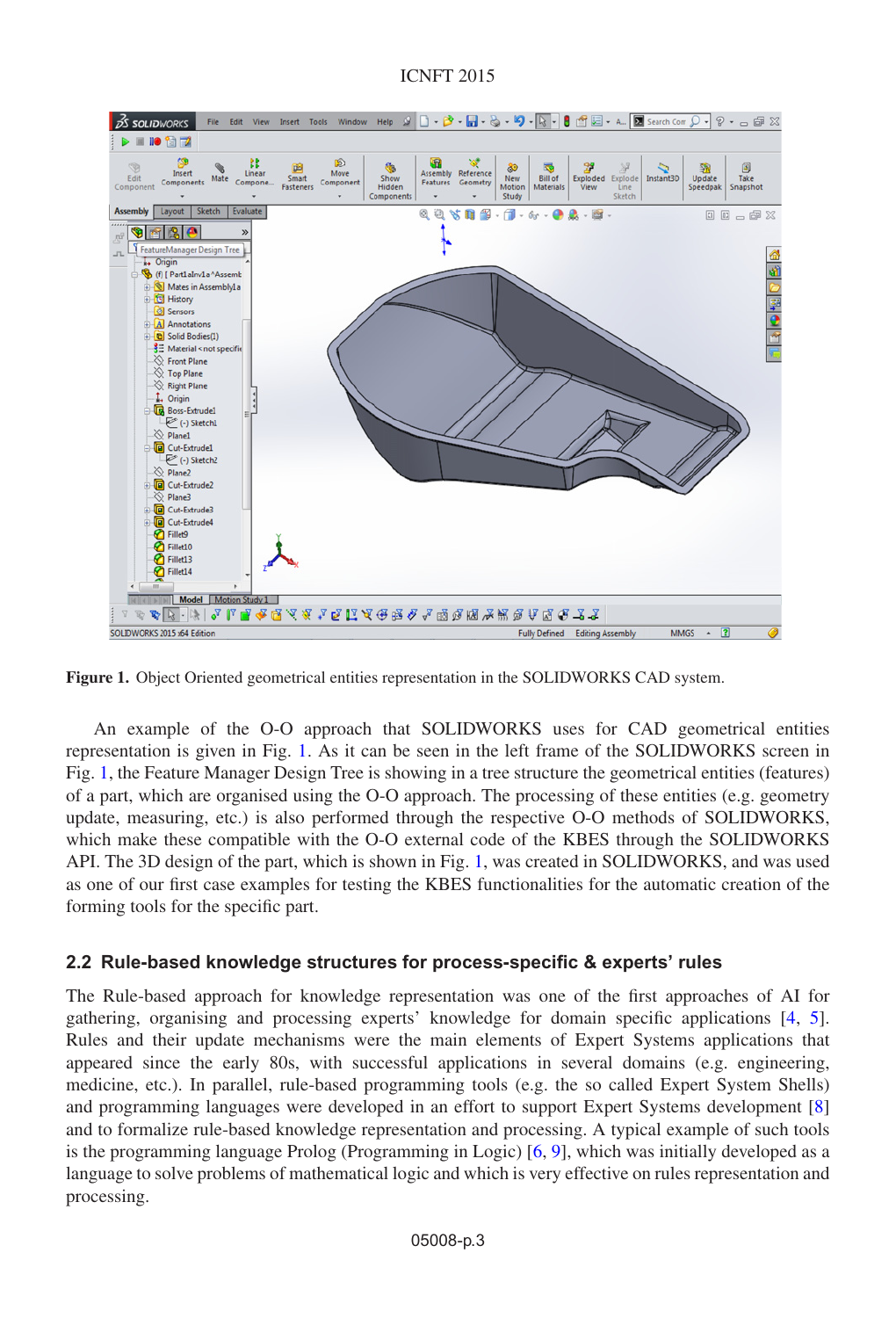<span id="page-2-0"></span>

**Figure 1.** Object Oriented geometrical entities representation in the SOLIDWORKS CAD system.

An example of the O-O approach that SOLIDWORKS uses for CAD geometrical entities representation is given in Fig. [1.](#page-2-0) As it can be seen in the left frame of the SOLIDWORKS screen in Fig. [1,](#page-2-0) the Feature Manager Design Tree is showing in a tree structure the geometrical entities (features) of a part, which are organised using the O-O approach. The processing of these entities (e.g. geometry update, measuring, etc.) is also performed through the respective O-O methods of SOLIDWORKS, which make these compatible with the O-O external code of the KBES through the SOLIDWORKS API. The 3D design of the part, which is shown in Fig. [1,](#page-2-0) was created in SOLIDWORKS, and was used as one of our first case examples for testing the KBES functionalities for the automatic creation of the forming tools for the specific part.

#### **2.2 Rule-based knowledge structures for process-specific & experts' rules**

The Rule-based approach for knowledge representation was one of the first approaches of AI for gathering, organising and processing experts' knowledge for domain specific applications [\[4](#page-5-1), [5\]](#page-5-5). Rules and their update mechanisms were the main elements of Expert Systems applications that appeared since the early 80s, with successful applications in several domains (e.g. engineering, medicine, etc.). In parallel, rule-based programming tools (e.g. the so called Expert System Shells) and programming languages were developed in an effort to support Expert Systems development [\[8](#page-6-3)] and to formalize rule-based knowledge representation and processing. A typical example of such tools is the programming language Prolog (Programming in Logic) [\[6,](#page-5-6) [9\]](#page-6-4), which was initially developed as a language to solve problems of mathematical logic and which is very effective on rules representation and processing.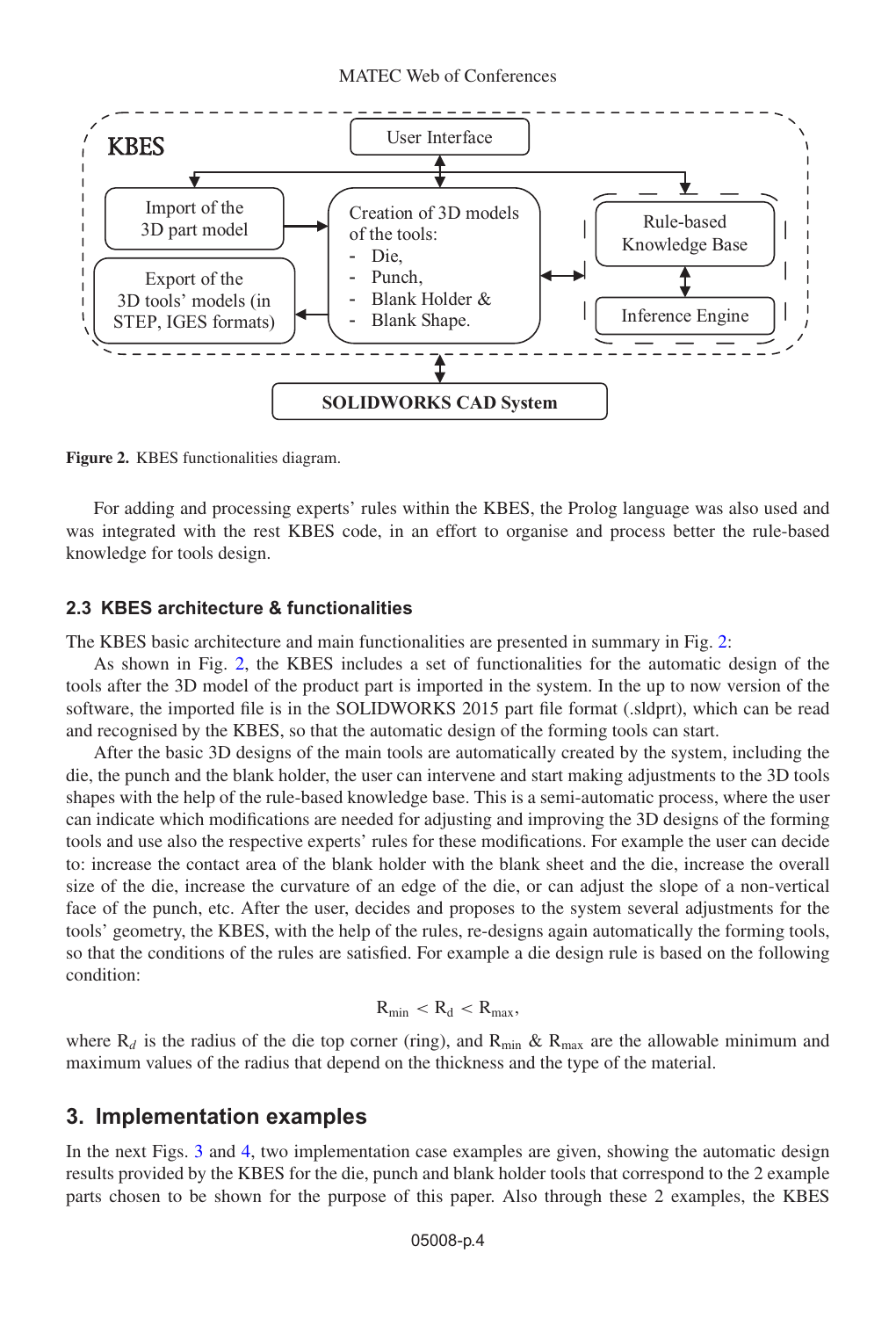<span id="page-3-0"></span>

**Figure 2.** KBES functionalities diagram.

For adding and processing experts' rules within the KBES, the Prolog language was also used and was integrated with the rest KBES code, in an effort to organise and process better the rule-based knowledge for tools design.

### **2.3 KBES architecture & functionalities**

The KBES basic architecture and main functionalities are presented in summary in Fig. [2:](#page-3-0)

As shown in Fig. [2,](#page-3-0) the KBES includes a set of functionalities for the automatic design of the tools after the 3D model of the product part is imported in the system. In the up to now version of the software, the imported file is in the SOLIDWORKS 2015 part file format (.sldprt), which can be read and recognised by the KBES, so that the automatic design of the forming tools can start.

After the basic 3D designs of the main tools are automatically created by the system, including the die, the punch and the blank holder, the user can intervene and start making adjustments to the 3D tools shapes with the help of the rule-based knowledge base. This is a semi-automatic process, where the user can indicate which modifications are needed for adjusting and improving the 3D designs of the forming tools and use also the respective experts' rules for these modifications. For example the user can decide to: increase the contact area of the blank holder with the blank sheet and the die, increase the overall size of the die, increase the curvature of an edge of the die, or can adjust the slope of a non-vertical face of the punch, etc. After the user, decides and proposes to the system several adjustments for the tools' geometry, the KBES, with the help of the rules, re-designs again automatically the forming tools, so that the conditions of the rules are satisfied. For example a die design rule is based on the following condition:

$$
R_{min} < R_d < R_{max},
$$

where  $R_d$  is the radius of the die top corner (ring), and  $R_{min}$  &  $R_{max}$  are the allowable minimum and maximum values of the radius that depend on the thickness and the type of the material.

#### **3. Implementation examples**

In the next Figs. [3](#page-4-0) and [4,](#page-4-1) two implementation case examples are given, showing the automatic design results provided by the KBES for the die, punch and blank holder tools that correspond to the 2 example parts chosen to be shown for the purpose of this paper. Also through these 2 examples, the KBES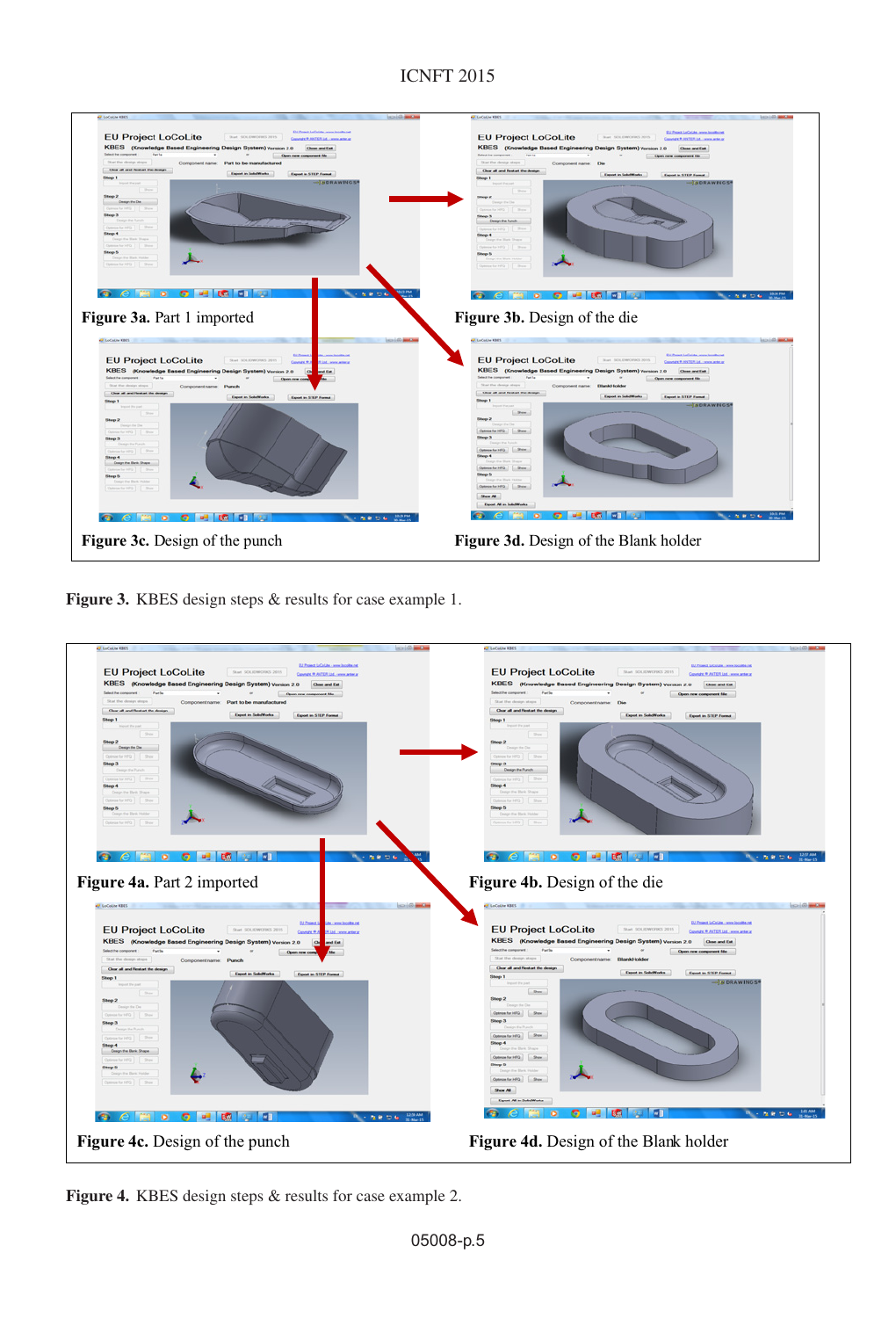### ICNFT 2015

<span id="page-4-0"></span>

**Figure 3.** KBES design steps & results for case example 1.

<span id="page-4-1"></span>

**Figure 4.** KBES design steps & results for case example 2.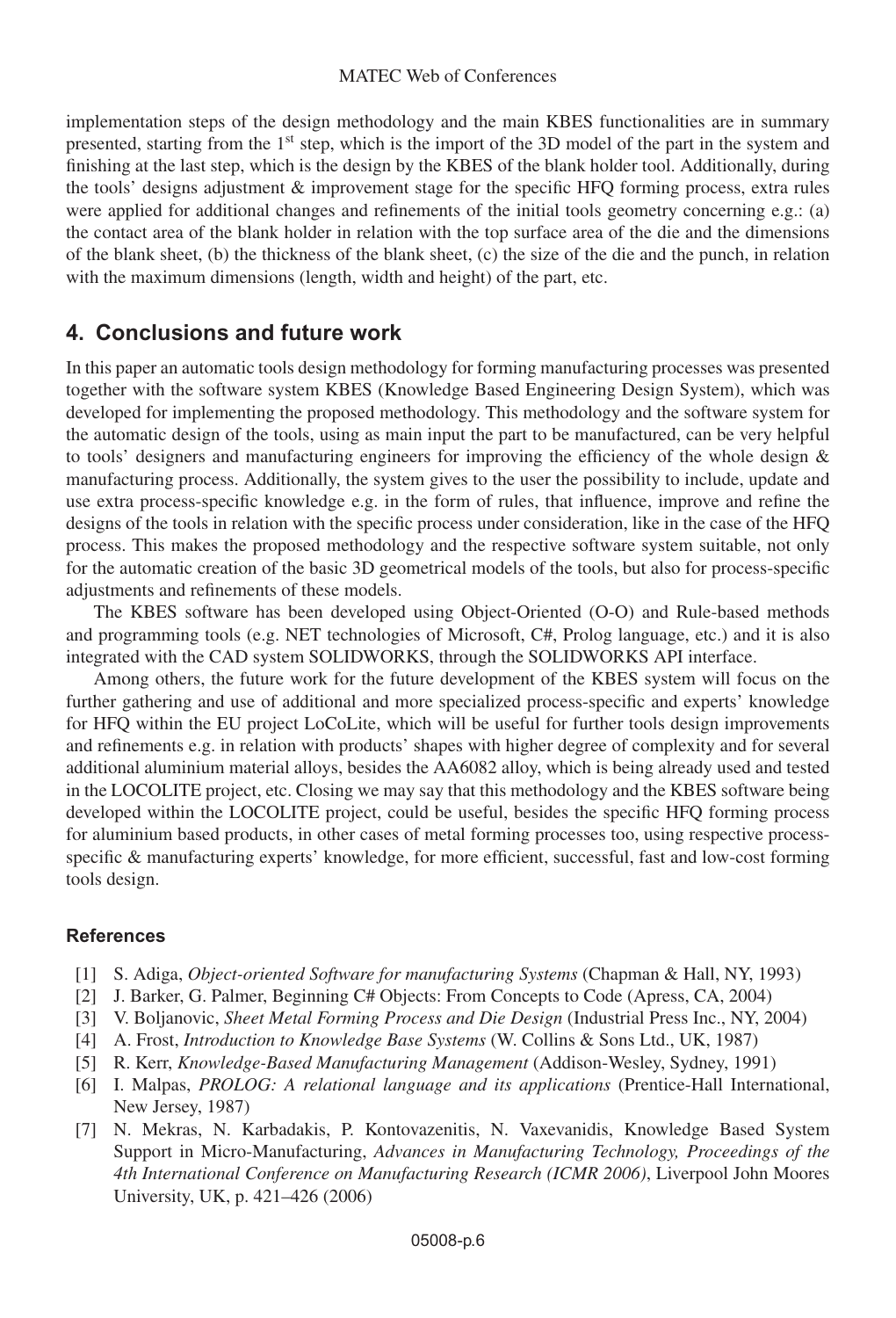implementation steps of the design methodology and the main KBES functionalities are in summary presented, starting from the  $1<sup>st</sup>$  step, which is the import of the 3D model of the part in the system and finishing at the last step, which is the design by the KBES of the blank holder tool. Additionally, during the tools' designs adjustment & improvement stage for the specific HFQ forming process, extra rules were applied for additional changes and refinements of the initial tools geometry concerning e.g.: (a) the contact area of the blank holder in relation with the top surface area of the die and the dimensions of the blank sheet, (b) the thickness of the blank sheet, (c) the size of the die and the punch, in relation with the maximum dimensions (length, width and height) of the part, etc.

# **4. Conclusions and future work**

In this paper an automatic tools design methodology for forming manufacturing processes was presented together with the software system KBES (Knowledge Based Engineering Design System), which was developed for implementing the proposed methodology. This methodology and the software system for the automatic design of the tools, using as main input the part to be manufactured, can be very helpful to tools' designers and manufacturing engineers for improving the efficiency of the whole design & manufacturing process. Additionally, the system gives to the user the possibility to include, update and use extra process-specific knowledge e.g. in the form of rules, that influence, improve and refine the designs of the tools in relation with the specific process under consideration, like in the case of the HFQ process. This makes the proposed methodology and the respective software system suitable, not only for the automatic creation of the basic 3D geometrical models of the tools, but also for process-specific adjustments and refinements of these models.

The KBES software has been developed using Object-Oriented (O-O) and Rule-based methods and programming tools (e.g. NET technologies of Microsoft, C#, Prolog language, etc.) and it is also integrated with the CAD system SOLIDWORKS, through the SOLIDWORKS API interface.

Among others, the future work for the future development of the KBES system will focus on the further gathering and use of additional and more specialized process-specific and experts' knowledge for HFQ within the EU project LoCoLite, which will be useful for further tools design improvements and refinements e.g. in relation with products' shapes with higher degree of complexity and for several additional aluminium material alloys, besides the AA6082 alloy, which is being already used and tested in the LOCOLITE project, etc. Closing we may say that this methodology and the KBES software being developed within the LOCOLITE project, could be useful, besides the specific HFQ forming process for aluminium based products, in other cases of metal forming processes too, using respective processspecific & manufacturing experts' knowledge, for more efficient, successful, fast and low-cost forming tools design.

### <span id="page-5-2"></span>**References**

- [1] S. Adiga, *Object-oriented Software for manufacturing Systems* (Chapman & Hall, NY, 1993)
- <span id="page-5-3"></span><span id="page-5-0"></span>[2] J. Barker, G. Palmer, Beginning C# Objects: From Concepts to Code (Apress, CA, 2004)
- [3] V. Boljanovic, *Sheet Metal Forming Process and Die Design* (Industrial Press Inc., NY, 2004)
- [4] A. Frost, *Introduction to Knowledge Base Systems* (W. Collins & Sons Ltd., UK, 1987)
- <span id="page-5-5"></span><span id="page-5-1"></span>[5] R. Kerr, *Knowledge-Based Manufacturing Management* (Addison-Wesley, Sydney, 1991)
- <span id="page-5-6"></span>[6] I. Malpas, *PROLOG: A relational language and its applications* (Prentice-Hall International, New Jersey, 1987)
- <span id="page-5-4"></span>[7] N. Mekras, N. Karbadakis, P. Kontovazenitis, N. Vaxevanidis, Knowledge Based System Support in Micro-Manufacturing, *Advances in Manufacturing Technology, Proceedings of the 4th International Conference on Manufacturing Research (ICMR 2006)*, Liverpool John Moores University, UK, p. 421–426 (2006)